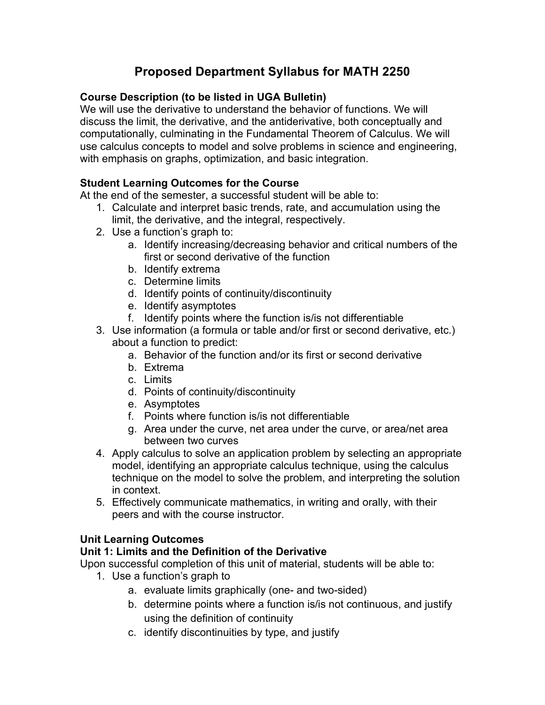# **Proposed Department Syllabus for MATH 2250**

#### **Course Description (to be listed in UGA Bulletin)**

We will use the derivative to understand the behavior of functions. We will discuss the limit, the derivative, and the antiderivative, both conceptually and computationally, culminating in the Fundamental Theorem of Calculus. We will use calculus concepts to model and solve problems in science and engineering, with emphasis on graphs, optimization, and basic integration.

#### **Student Learning Outcomes for the Course**

At the end of the semester, a successful student will be able to:

- 1. Calculate and interpret basic trends, rate, and accumulation using the limit, the derivative, and the integral, respectively.
- 2. Use a function's graph to:
	- a. Identify increasing/decreasing behavior and critical numbers of the first or second derivative of the function
	- b. Identify extrema
	- c. Determine limits
	- d. Identify points of continuity/discontinuity
	- e. Identify asymptotes
	- f. Identify points where the function is/is not differentiable
- 3. Use information (a formula or table and/or first or second derivative, etc.) about a function to predict:
	- a. Behavior of the function and/or its first or second derivative
	- b. Extrema
	- c. Limits
	- d. Points of continuity/discontinuity
	- e. Asymptotes
	- f. Points where function is/is not differentiable
	- g. Area under the curve, net area under the curve, or area/net area between two curves
- 4. Apply calculus to solve an application problem by selecting an appropriate model, identifying an appropriate calculus technique, using the calculus technique on the model to solve the problem, and interpreting the solution in context.
- 5. Effectively communicate mathematics, in writing and orally, with their peers and with the course instructor.

#### **Unit Learning Outcomes**

#### **Unit 1: Limits and the Definition of the Derivative**

- 1. Use a function's graph to
	- a. evaluate limits graphically (one- and two-sided)
	- b. determine points where a function is/is not continuous, and justify using the definition of continuity
	- c. identify discontinuities by type, and justify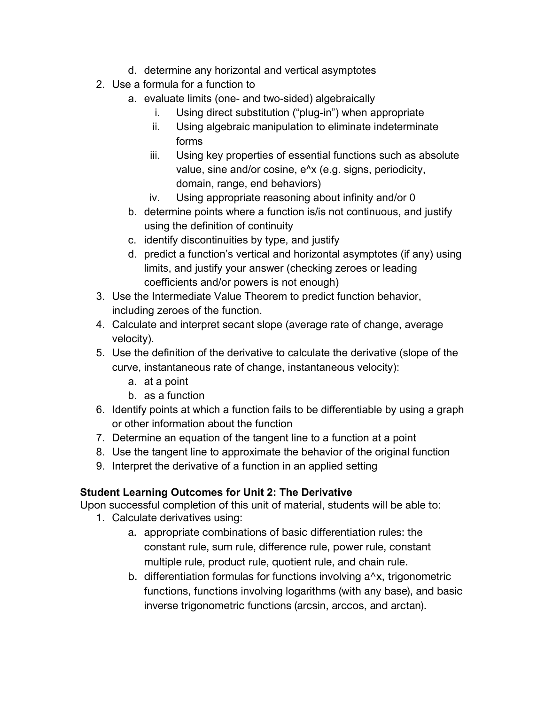- d. determine any horizontal and vertical asymptotes
- 2. Use a formula for a function to
	- a. evaluate limits (one- and two-sided) algebraically
		- i. Using direct substitution ("plug-in") when appropriate
		- ii. Using algebraic manipulation to eliminate indeterminate forms
		- iii. Using key properties of essential functions such as absolute value, sine and/or cosine, e^x (e.g. signs, periodicity, domain, range, end behaviors)
		- iv. Using appropriate reasoning about infinity and/or 0
	- b. determine points where a function is/is not continuous, and justify using the definition of continuity
	- c. identify discontinuities by type, and justify
	- d. predict a function's vertical and horizontal asymptotes (if any) using limits, and justify your answer (checking zeroes or leading coefficients and/or powers is not enough)
- 3. Use the Intermediate Value Theorem to predict function behavior, including zeroes of the function.
- 4. Calculate and interpret secant slope (average rate of change, average velocity).
- 5. Use the definition of the derivative to calculate the derivative (slope of the curve, instantaneous rate of change, instantaneous velocity):
	- a. at a point
	- b. as a function
- 6. Identify points at which a function fails to be differentiable by using a graph or other information about the function
- 7. Determine an equation of the tangent line to a function at a point
- 8. Use the tangent line to approximate the behavior of the original function
- 9. Interpret the derivative of a function in an applied setting

### **Student Learning Outcomes for Unit 2: The Derivative**

- 1. Calculate derivatives using:
	- a. appropriate combinations of basic differentiation rules: the constant rule, sum rule, difference rule, power rule, constant multiple rule, product rule, quotient rule, and chain rule.
	- b. differentiation formulas for functions involving  $a^{\lambda}x$ , trigonometric functions, functions involving logarithms (with any base), and basic inverse trigonometric functions (arcsin, arccos, and arctan).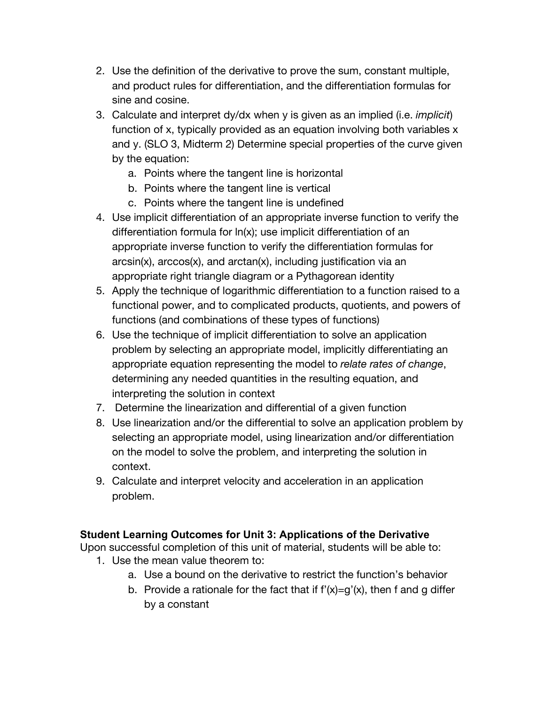- 2. Use the definition of the derivative to prove the sum, constant multiple, and product rules for differentiation, and the differentiation formulas for sine and cosine.
- 3. Calculate and interpret dy/dx when y is given as an implied (i.e. *implicit*) function of x, typically provided as an equation involving both variables x and y. (SLO 3, Midterm 2) Determine special properties of the curve given by the equation:
	- a. Points where the tangent line is horizontal
	- b. Points where the tangent line is vertical
	- c. Points where the tangent line is undefined
- 4. Use implicit differentiation of an appropriate inverse function to verify the differentiation formula for ln(x); use implicit differentiation of an appropriate inverse function to verify the differentiation formulas for arcsin(x), arccos(x), and arctan(x), including justification via an appropriate right triangle diagram or a Pythagorean identity
- 5. Apply the technique of logarithmic differentiation to a function raised to a functional power, and to complicated products, quotients, and powers of functions (and combinations of these types of functions)
- 6. Use the technique of implicit differentiation to solve an application problem by selecting an appropriate model, implicitly differentiating an appropriate equation representing the model to *relate rates of change*, determining any needed quantities in the resulting equation, and interpreting the solution in context
- 7. Determine the linearization and differential of a given function
- 8. Use linearization and/or the differential to solve an application problem by selecting an appropriate model, using linearization and/or differentiation on the model to solve the problem, and interpreting the solution in context.
- 9. Calculate and interpret velocity and acceleration in an application problem.

### **Student Learning Outcomes for Unit 3: Applications of the Derivative**

- 1. Use the mean value theorem to:
	- a. Use a bound on the derivative to restrict the function's behavior
	- b. Provide a rationale for the fact that if  $f'(x)=g'(x)$ , then f and g differ by a constant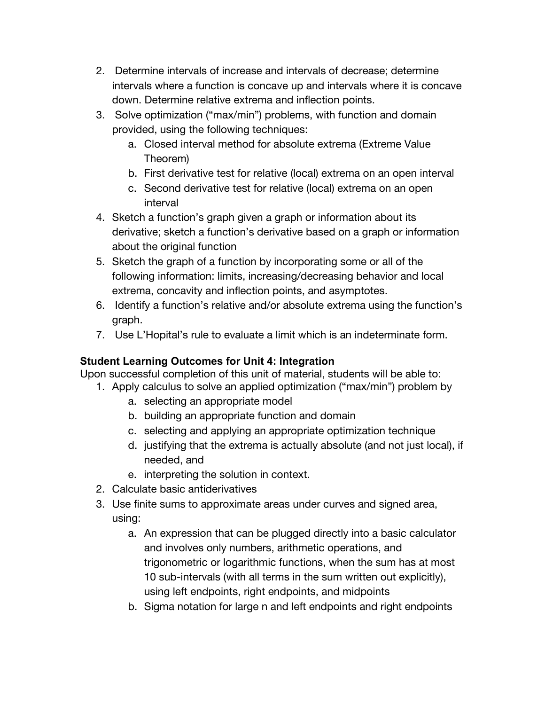- 2. Determine intervals of increase and intervals of decrease; determine intervals where a function is concave up and intervals where it is concave down. Determine relative extrema and inflection points.
- 3. Solve optimization ("max/min") problems, with function and domain provided, using the following techniques:
	- a. Closed interval method for absolute extrema (Extreme Value Theorem)
	- b. First derivative test for relative (local) extrema on an open interval
	- c. Second derivative test for relative (local) extrema on an open interval
- 4. Sketch a function's graph given a graph or information about its derivative; sketch a function's derivative based on a graph or information about the original function
- 5. Sketch the graph of a function by incorporating some or all of the following information: limits, increasing/decreasing behavior and local extrema, concavity and inflection points, and asymptotes.
- 6. Identify a function's relative and/or absolute extrema using the function's graph.
- 7. Use L'Hopital's rule to evaluate a limit which is an indeterminate form.

### **Student Learning Outcomes for Unit 4: Integration**

- 1. Apply calculus to solve an applied optimization ("max/min") problem by
	- a. selecting an appropriate model
	- b. building an appropriate function and domain
	- c. selecting and applying an appropriate optimization technique
	- d. justifying that the extrema is actually absolute (and not just local), if needed, and
	- e. interpreting the solution in context.
- 2. Calculate basic antiderivatives
- 3. Use finite sums to approximate areas under curves and signed area, using:
	- a. An expression that can be plugged directly into a basic calculator and involves only numbers, arithmetic operations, and trigonometric or logarithmic functions, when the sum has at most 10 sub-intervals (with all terms in the sum written out explicitly), using left endpoints, right endpoints, and midpoints
	- b. Sigma notation for large n and left endpoints and right endpoints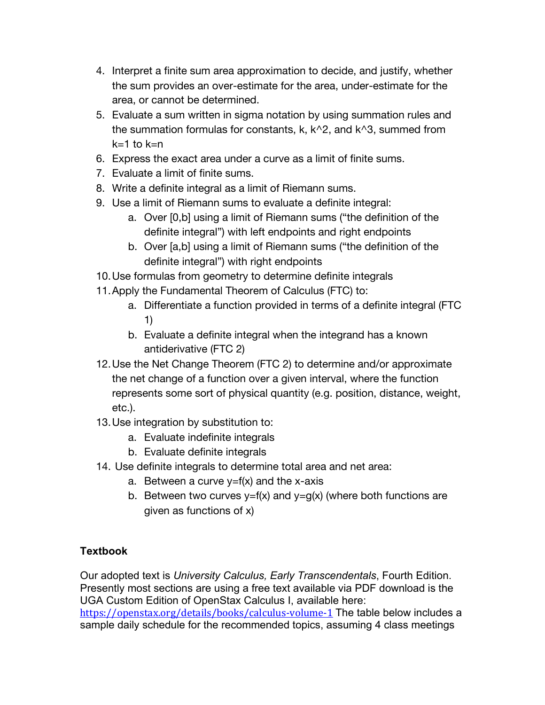- 4. Interpret a finite sum area approximation to decide, and justify, whether the sum provides an over-estimate for the area, under-estimate for the area, or cannot be determined.
- 5. Evaluate a sum written in sigma notation by using summation rules and the summation formulas for constants,  $k, k^2$ , and  $k^3$ , summed from  $k=1$  to  $k=n$
- 6. Express the exact area under a curve as a limit of finite sums.
- 7. Evaluate a limit of finite sums.
- 8. Write a definite integral as a limit of Riemann sums.
- 9. Use a limit of Riemann sums to evaluate a definite integral:
	- a. Over [0,b] using a limit of Riemann sums ("the definition of the definite integral") with left endpoints and right endpoints
	- b. Over [a,b] using a limit of Riemann sums ("the definition of the definite integral") with right endpoints
- 10.Use formulas from geometry to determine definite integrals
- 11.Apply the Fundamental Theorem of Calculus (FTC) to:
	- a. Differentiate a function provided in terms of a definite integral (FTC 1)
	- b. Evaluate a definite integral when the integrand has a known antiderivative (FTC 2)
- 12.Use the Net Change Theorem (FTC 2) to determine and/or approximate the net change of a function over a given interval, where the function represents some sort of physical quantity (e.g. position, distance, weight, etc.).
- 13.Use integration by substitution to:
	- a. Evaluate indefinite integrals
	- b. Evaluate definite integrals
- 14. Use definite integrals to determine total area and net area:
	- a. Between a curve  $y=f(x)$  and the x-axis
	- b. Between two curves  $y=f(x)$  and  $y=g(x)$  (where both functions are given as functions of x)

## **Textbook**

Our adopted text is *University Calculus, Early Transcendentals*, Fourth Edition. Presently most sections are using a free text available via PDF download is the UGA Custom Edition of OpenStax Calculus I, available here:

https://openstax.org/details/books/calculus-volume-1 The table below includes a sample daily schedule for the recommended topics, assuming 4 class meetings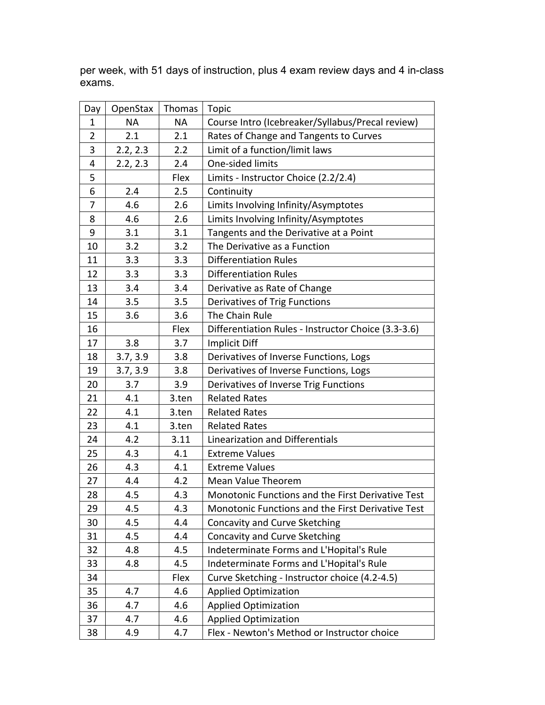| Day            | OpenStax  | Thomas    | <b>Topic</b>                                        |
|----------------|-----------|-----------|-----------------------------------------------------|
| $\mathbf 1$    | <b>NA</b> | <b>NA</b> | Course Intro (Icebreaker/Syllabus/Precal review)    |
| $\overline{2}$ | 2.1       | 2.1       | Rates of Change and Tangents to Curves              |
| 3              | 2.2, 2.3  | 2.2       | Limit of a function/limit laws                      |
| 4              | 2.2, 2.3  | 2.4       | One-sided limits                                    |
| 5              |           | Flex      | Limits - Instructor Choice (2.2/2.4)                |
| 6              | 2.4       | 2.5       | Continuity                                          |
| 7              | 4.6       | 2.6       | Limits Involving Infinity/Asymptotes                |
| 8              | 4.6       | 2.6       | Limits Involving Infinity/Asymptotes                |
| 9              | 3.1       | 3.1       | Tangents and the Derivative at a Point              |
| 10             | 3.2       | 3.2       | The Derivative as a Function                        |
| 11             | 3.3       | 3.3       | <b>Differentiation Rules</b>                        |
| 12             | 3.3       | 3.3       | <b>Differentiation Rules</b>                        |
| 13             | 3.4       | 3.4       | Derivative as Rate of Change                        |
| 14             | 3.5       | 3.5       | Derivatives of Trig Functions                       |
| 15             | 3.6       | 3.6       | The Chain Rule                                      |
| 16             |           | Flex      | Differentiation Rules - Instructor Choice (3.3-3.6) |
| 17             | 3.8       | 3.7       | <b>Implicit Diff</b>                                |
| 18             | 3.7, 3.9  | 3.8       | Derivatives of Inverse Functions, Logs              |
| 19             | 3.7, 3.9  | 3.8       | Derivatives of Inverse Functions, Logs              |
| 20             | 3.7       | 3.9       | Derivatives of Inverse Trig Functions               |
| 21             | 4.1       | 3.ten     | <b>Related Rates</b>                                |
| 22             | 4.1       | 3.ten     | <b>Related Rates</b>                                |
| 23             | 4.1       | 3.ten     | <b>Related Rates</b>                                |
| 24             | 4.2       | 3.11      | Linearization and Differentials                     |
| 25             | 4.3       | 4.1       | <b>Extreme Values</b>                               |
| 26             | 4.3       | 4.1       | <b>Extreme Values</b>                               |
| 27             | 4.4       | 4.2       | Mean Value Theorem                                  |
| 28             | 4.5       | 4.3       | Monotonic Functions and the First Derivative Test   |
| 29             | 4.5       | 4.3       | Monotonic Functions and the First Derivative Test   |
| 30             | 4.5       | 4.4       | Concavity and Curve Sketching                       |
| 31             | 4.5       | 4.4       | Concavity and Curve Sketching                       |
| 32             | 4.8       | 4.5       | Indeterminate Forms and L'Hopital's Rule            |
| 33             | 4.8       | 4.5       | Indeterminate Forms and L'Hopital's Rule            |
| 34             |           | Flex      | Curve Sketching - Instructor choice (4.2-4.5)       |
| 35             | 4.7       | 4.6       | <b>Applied Optimization</b>                         |
| 36             | 4.7       | 4.6       | <b>Applied Optimization</b>                         |
| 37             | 4.7       | 4.6       | <b>Applied Optimization</b>                         |
| 38             | 4.9       | 4.7       | Flex - Newton's Method or Instructor choice         |

per week, with 51 days of instruction, plus 4 exam review days and 4 in-class exams.